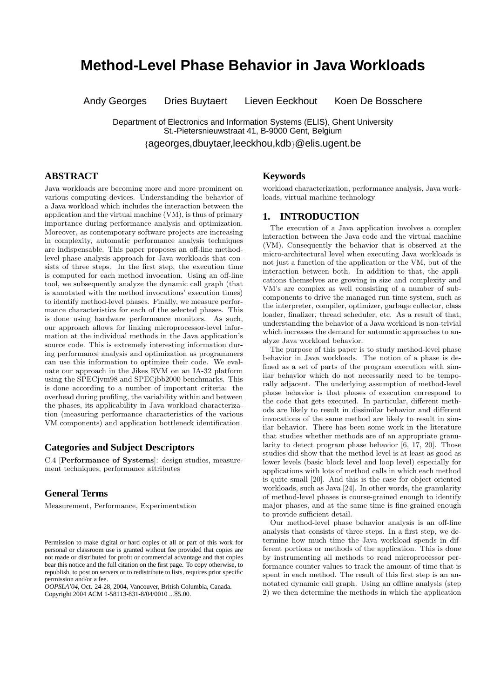# **Method-Level Phase Behavior in Java Workloads**

Andy Georges Dries Buytaert Lieven Eeckhout Koen De Bosschere

Department of Electronics and Information Systems (ELIS), Ghent University St.-Pietersnieuwstraat 41, B-9000 Gent, Belgium {ageorges,dbuytaer,leeckhou,kdb}@elis.ugent.be

# **ABSTRACT**

Java workloads are becoming more and more prominent on various computing devices. Understanding the behavior of a Java workload which includes the interaction between the application and the virtual machine (VM), is thus of primary importance during performance analysis and optimization. Moreover, as contemporary software projects are increasing in complexity, automatic performance analysis techniques are indispensable. This paper proposes an off-line methodlevel phase analysis approach for Java workloads that consists of three steps. In the first step, the execution time is computed for each method invocation. Using an off-line tool, we subsequently analyze the dynamic call graph (that is annotated with the method invocations' execution times) to identify method-level phases. Finally, we measure performance characteristics for each of the selected phases. This is done using hardware performance monitors. As such, our approach allows for linking microprocessor-level information at the individual methods in the Java application's source code. This is extremely interesting information during performance analysis and optimization as programmers can use this information to optimize their code. We evaluate our approach in the Jikes RVM on an IA-32 platform using the SPECjvm98 and SPECjbb2000 benchmarks. This is done according to a number of important criteria: the overhead during profiling, the variability within and between the phases, its applicability in Java workload characterization (measuring performance characteristics of the various VM components) and application bottleneck identification.

# **Categories and Subject Descriptors**

C.4 [Performance of Systems]: design studies, measurement techniques, performance attributes

# **General Terms**

Measurement, Performance, Experimentation

*OOPSLA'04,* Oct. 24-28, 2004, Vancouver, British Columbia, Canada. Copyright 2004 ACM 1-58113-831-8/04/0010 ...\$5.00.

# **Keywords**

workload characterization, performance analysis, Java workloads, virtual machine technology

### **1. INTRODUCTION**

The execution of a Java application involves a complex interaction between the Java code and the virtual machine (VM). Consequently the behavior that is observed at the micro-architectural level when executing Java workloads is not just a function of the application or the VM, but of the interaction between both. In addition to that, the applications themselves are growing in size and complexity and VM's are complex as well consisting of a number of subcomponents to drive the managed run-time system, such as the interpreter, compiler, optimizer, garbage collector, class loader, finalizer, thread scheduler, etc. As a result of that, understanding the behavior of a Java workload is non-trivial which increases the demand for automatic approaches to analyze Java workload behavior.

The purpose of this paper is to study method-level phase behavior in Java workloads. The notion of a phase is defined as a set of parts of the program execution with similar behavior which do not necessarily need to be temporally adjacent. The underlying assumption of method-level phase behavior is that phases of execution correspond to the code that gets executed. In particular, different methods are likely to result in dissimilar behavior and different invocations of the same method are likely to result in similar behavior. There has been some work in the literature that studies whether methods are of an appropriate granularity to detect program phase behavior [6, 17, 20]. Those studies did show that the method level is at least as good as lower levels (basic block level and loop level) especially for applications with lots of method calls in which each method is quite small [20]. And this is the case for object-oriented workloads, such as Java [24]. In other words, the granularity of method-level phases is course-grained enough to identify major phases, and at the same time is fine-grained enough to provide sufficient detail.

Our method-level phase behavior analysis is an off-line analysis that consists of three steps. In a first step, we determine how much time the Java workload spends in different portions or methods of the application. This is done by instrumenting all methods to read microprocessor performance counter values to track the amount of time that is spent in each method. The result of this first step is an annotated dynamic call graph. Using an offline analysis (step 2) we then determine the methods in which the application

Permission to make digital or hard copies of all or part of this work for personal or classroom use is granted without fee provided that copies are not made or distributed for profit or commercial advantage and that copies bear this notice and the full citation on the first page. To copy otherwise, to republish, to post on servers or to redistribute to lists, requires prior specific permission and/or a fee.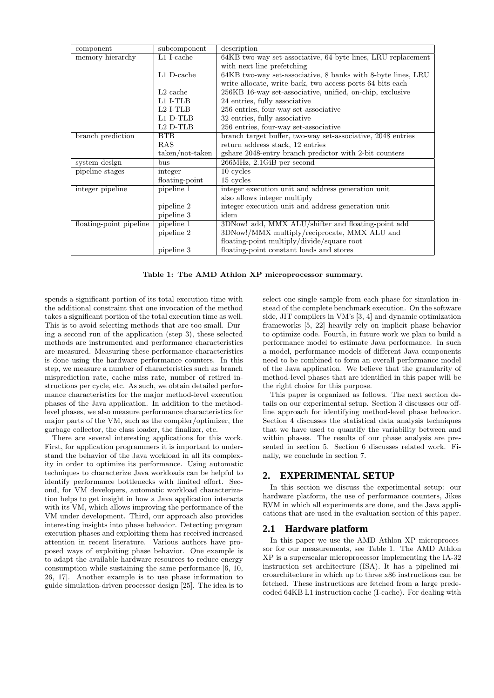| component               | subcomponent         | description                                                  |
|-------------------------|----------------------|--------------------------------------------------------------|
| memory hierarchy        | $L1$ I-cache         | 64KB two-way set-associative, 64-byte lines, LRU replacement |
|                         |                      | with next line prefetching                                   |
|                         | L1 D-cache           | 64KB two-way set-associative, 8 banks with 8-byte lines, LRU |
|                         |                      | write-allocate, write-back, two access ports 64 bits each    |
|                         | $L2$ cache           | 256KB 16-way set-associative, unified, on-chip, exclusive    |
|                         | L1 I-TLB             | 24 entries, fully associative                                |
|                         | $L2$ I-TLB           | 256 entries, four-way set-associative                        |
|                         | L1 D-TLB             | 32 entries, fully associative                                |
|                         | L <sub>2</sub> D-TLB | 256 entries, four-way set-associative                        |
| branch prediction       | <b>BTB</b>           | branch target buffer, two-way set-associative, 2048 entries  |
|                         | <b>RAS</b>           | return address stack, 12 entries                             |
|                         | $taken/not-taken$    | gshare 2048-entry branch predictor with 2-bit counters       |
| system design           | bus                  | 266MHz, 2.1GiB per second                                    |
| pipeline stages         | integer              | 10 cycles                                                    |
|                         | floating-point       | 15 cycles                                                    |
| integer pipeline        | $pi$ pipeline $1$    | integer execution unit and address generation unit           |
|                         |                      | also allows integer multiply                                 |
|                         | pipeline 2           | integer execution unit and address generation unit           |
|                         | pipeline 3           | idem                                                         |
| floating-point pipeline | pipeline 1           | 3DNow! add, MMX ALU/shifter and floating-point add           |
|                         | pipeline 2           | 3DNow!/MMX multiply/reciprocate, MMX ALU and                 |
|                         |                      | floating-point multiply/divide/square root                   |
|                         | pipeline 3           | floating-point constant loads and stores                     |

Table 1: The AMD Athlon XP microprocessor summary.

spends a significant portion of its total execution time with the additional constraint that one invocation of the method takes a significant portion of the total execution time as well. This is to avoid selecting methods that are too small. During a second run of the application (step 3), these selected methods are instrumented and performance characteristics are measured. Measuring these performance characteristics is done using the hardware performance counters. In this step, we measure a number of characteristics such as branch misprediction rate, cache miss rate, number of retired instructions per cycle, etc. As such, we obtain detailed performance characteristics for the major method-level execution phases of the Java application. In addition to the methodlevel phases, we also measure performance characteristics for major parts of the VM, such as the compiler/optimizer, the garbage collector, the class loader, the finalizer, etc.

There are several interesting applications for this work. First, for application programmers it is important to understand the behavior of the Java workload in all its complexity in order to optimize its performance. Using automatic techniques to characterize Java workloads can be helpful to identify performance bottlenecks with limited effort. Second, for VM developers, automatic workload characterization helps to get insight in how a Java application interacts with its VM, which allows improving the performance of the VM under development. Third, our approach also provides interesting insights into phase behavior. Detecting program execution phases and exploiting them has received increased attention in recent literature. Various authors have proposed ways of exploiting phase behavior. One example is to adapt the available hardware resources to reduce energy consumption while sustaining the same performance [6, 10, 26, 17]. Another example is to use phase information to guide simulation-driven processor design [25]. The idea is to

select one single sample from each phase for simulation instead of the complete benchmark execution. On the software side, JIT compilers in VM's [3, 4] and dynamic optimization frameworks [5, 22] heavily rely on implicit phase behavior to optimize code. Fourth, in future work we plan to build a performance model to estimate Java performance. In such a model, performance models of different Java components need to be combined to form an overall performance model of the Java application. We believe that the granularity of method-level phases that are identified in this paper will be the right choice for this purpose.

This paper is organized as follows. The next section details on our experimental setup. Section 3 discusses our offline approach for identifying method-level phase behavior. Section 4 discusses the statistical data analysis techniques that we have used to quantify the variability between and within phases. The results of our phase analysis are presented in section 5. Section 6 discusses related work. Finally, we conclude in section 7.

### **2. EXPERIMENTAL SETUP**

In this section we discuss the experimental setup: our hardware platform, the use of performance counters, Jikes RVM in which all experiments are done, and the Java applications that are used in the evaluation section of this paper.

### **2.1 Hardware platform**

In this paper we use the AMD Athlon XP microprocessor for our measurements, see Table 1. The AMD Athlon XP is a superscalar microprocessor implementing the IA-32 instruction set architecture (ISA). It has a pipelined microarchitecture in which up to three x86 instructions can be fetched. These instructions are fetched from a large predecoded 64KB L1 instruction cache (I-cache). For dealing with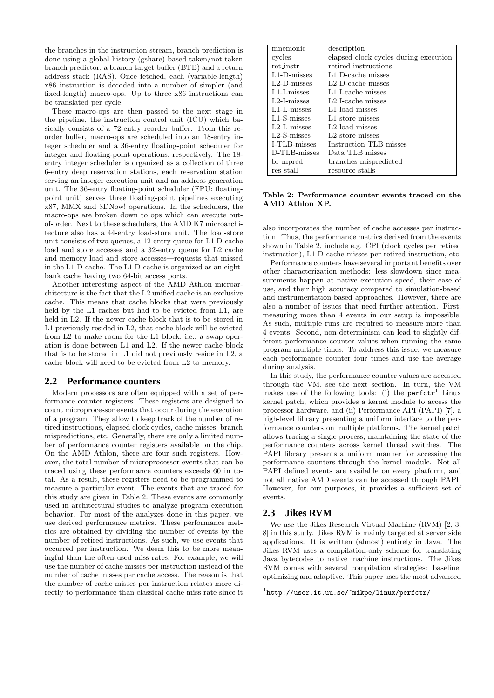the branches in the instruction stream, branch prediction is done using a global history (gshare) based taken/not-taken branch predictor, a branch target buffer (BTB) and a return address stack (RAS). Once fetched, each (variable-length) x86 instruction is decoded into a number of simpler (and fixed-length) macro-ops. Up to three x86 instructions can be translated per cycle.

These macro-ops are then passed to the next stage in the pipeline, the instruction control unit (ICU) which basically consists of a 72-entry reorder buffer. From this reorder buffer, macro-ops are scheduled into an 18-entry integer scheduler and a 36-entry floating-point scheduler for integer and floating-point operations, respectively. The 18 entry integer scheduler is organized as a collection of three 6-entry deep reservation stations, each reservation station serving an integer execution unit and an address generation unit. The 36-entry floating-point scheduler (FPU: floatingpoint unit) serves three floating-point pipelines executing x87, MMX and 3DNow! operations. In the schedulers, the macro-ops are broken down to ops which can execute outof-order. Next to these schedulers, the AMD K7 microarchitecture also has a 44-entry load-store unit. The load-store unit consists of two queues, a 12-entry queue for L1 D-cache load and store accesses and a 32-entry queue for L2 cache and memory load and store accesses—requests that missed in the L1 D-cache. The L1 D-cache is organized as an eightbank cache having two 64-bit access ports.

Another interesting aspect of the AMD Athlon microarchitecture is the fact that the L2 unified cache is an exclusive cache. This means that cache blocks that were previously held by the L1 caches but had to be evicted from L1, are held in L2. If the newer cache block that is to be stored in L1 previously resided in L2, that cache block will be evicted from L2 to make room for the L1 block, i.e., a swap operation is done between L1 and L2. If the newer cache block that is to be stored in L1 did not previously reside in L2, a cache block will need to be evicted from L2 to memory.

#### **2.2 Performance counters**

Modern processors are often equipped with a set of performance counter registers. These registers are designed to count microprocessor events that occur during the execution of a program. They allow to keep track of the number of retired instructions, elapsed clock cycles, cache misses, branch mispredictions, etc. Generally, there are only a limited number of performance counter registers available on the chip. On the AMD Athlon, there are four such registers. However, the total number of microprocessor events that can be traced using these performance counters exceeds 60 in total. As a result, these registers need to be programmed to measure a particular event. The events that are traced for this study are given in Table 2. These events are commonly used in architectural studies to analyze program execution behavior. For most of the analyzes done in this paper, we use derived performance metrics. These performance metrics are obtained by dividing the number of events by the number of retired instructions. As such, we use events that occurred per instruction. We deem this to be more meaningful than the often-used miss rates. For example, we will use the number of cache misses per instruction instead of the number of cache misses per cache access. The reason is that the number of cache misses per instruction relates more directly to performance than classical cache miss rate since it

| mnemonic                              | description                           |
|---------------------------------------|---------------------------------------|
| cycles                                | elapsed clock cycles during execution |
| ret_instr                             | retired instructions                  |
| L <sub>1</sub> -D-misses              | L1 D-cache misses                     |
| $L2-D-misses$                         | L <sub>2</sub> D-cache misses         |
| L <sub>1</sub> -L <sub>misses</sub>   | L1 I-cache misses                     |
| $L2$ -I-misses                        | L <sub>2</sub> I-cache misses         |
| L <sub>1</sub> -L <sub>-</sub> misses | L1 load misses                        |
| L1-S-misses                           | L1 store misses                       |
| L <sub>2</sub> -L <sub>-</sub> misses | L <sub>2</sub> load misses            |
| $L2-S-misses$                         | L <sub>2</sub> store misses           |
| <b>I-TLB-misses</b>                   | Instruction TLB misses                |
| D-TLB-misses                          | Data TLB misses                       |
| br_mpred                              | branches mispredicted                 |
| res_stall                             | resource stalls                       |

Table 2: Performance counter events traced on the AMD Athlon XP.

also incorporates the number of cache accesses per instruction. Thus, the performance metrics derived from the events shown in Table 2, include e.g. CPI (clock cycles per retired instruction), L1 D-cache misses per retired instruction, etc.

Performance counters have several important benefits over other characterization methods: less slowdown since measurements happen at native execution speed, their ease of use, and their high accuracy compared to simulation-based and instrumentation-based approaches. However, there are also a number of issues that need further attention. First, measuring more than 4 events in our setup is impossible. As such, multiple runs are required to measure more than 4 events. Second, non-determinism can lead to slightly different performance counter values when running the same program multiple times. To address this issue, we measure each performance counter four times and use the average during analysis.

In this study, the performance counter values are accessed through the VM, see the next section. In turn, the VM makes use of the following tools: (i) the  $\text{perfectr}^1$  Linux kernel patch, which provides a kernel module to access the processor hardware, and (ii) Performance API (PAPI) [7], a high-level library presenting a uniform interface to the performance counters on multiple platforms. The kernel patch allows tracing a single process, maintaining the state of the performance counters across kernel thread switches. The PAPI library presents a uniform manner for accessing the performance counters through the kernel module. Not all PAPI defined events are available on every platform, and not all native AMD events can be accessed through PAPI. However, for our purposes, it provides a sufficient set of events.

### **2.3 Jikes RVM**

We use the Jikes Research Virtual Machine (RVM) [2, 3, 8] in this study. Jikes RVM is mainly targeted at server side applications. It is written (almost) entirely in Java. The Jikes RVM uses a compilation-only scheme for translating Java bytecodes to native machine instructions. The Jikes RVM comes with several compilation strategies: baseline, optimizing and adaptive. This paper uses the most advanced

<sup>1</sup> http://user.it.uu.se/~mikpe/linux/perfctr/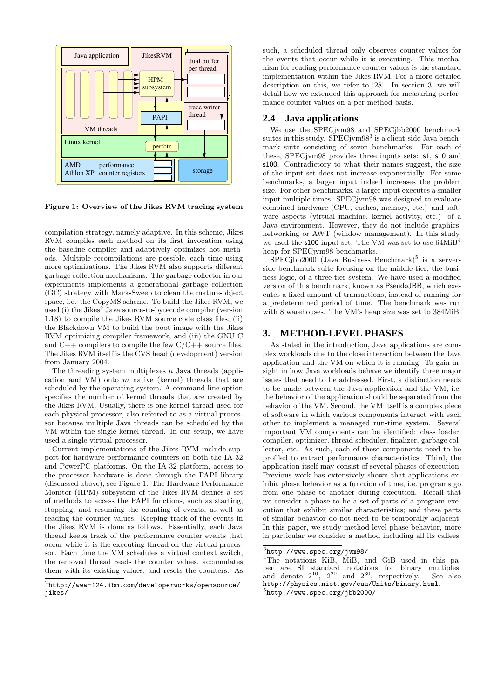

Figure 1: Overview of the Jikes RVM tracing system

compilation strategy, namely adaptive. In this scheme, Jikes RVM compiles each method on its first invocation using the baseline compiler and adaptively optimizes hot methods. Multiple recompilations are possible, each time using more optimizations. The Jikes RVM also supports different garbage collection mechanisms. The garbage collector in our experiments implements a generational garbage collection (GC) strategy with Mark-Sweep to clean the mature-object space, i.e. the CopyMS scheme. To build the Jikes RVM, we used (i) the Jikes<sup>2</sup> Java source-to-bytecode compiler (version 1.18) to compile the Jikes RVM source code class files, (ii) the Blackdown VM to build the boot image with the Jikes RVM optimizing compiler framework, and (iii) the GNU C and  $C++$  compilers to compile the few  $C/C++$  source files. The Jikes RVM itself is the CVS head (development) version from January 2004.

The threading system multiplexes  $n$  Java threads (application and VM) onto m native (kernel) threads that are scheduled by the operating system. A command line option specifies the number of kernel threads that are created by the Jikes RVM. Usually, there is one kernel thread used for each physical processor, also referred to as a virtual processor because multiple Java threads can be scheduled by the VM within the single kernel thread. In our setup, we have used a single virtual processor.

Current implementations of the Jikes RVM include support for hardware performance counters on both the IA-32 and PowerPC platforms. On the IA-32 platform, access to the processor hardware is done through the PAPI library (discussed above), see Figure 1. The Hardware Performance Monitor (HPM) subsystem of the Jikes RVM defines a set of methods to access the PAPI functions, such as starting, stopping, and resuming the counting of events, as well as reading the counter values. Keeping track of the events in the Jikes RVM is done as follows. Essentially, each Java thread keeps track of the performance counter events that occur while it is the executing thread on the virtual processor. Each time the VM schedules a virtual context switch, the removed thread reads the counter values, accumulates them with its existing values, and resets the counters. As

such, a scheduled thread only observes counter values for the events that occur while it is executing. This mechanism for reading performance counter values is the standard implementation within the Jikes RVM. For a more detailed description on this, we refer to [28]. In section 3, we will detail how we extended this approach for measuring performance counter values on a per-method basis.

### **2.4 Java applications**

We use the SPECjvm98 and SPECjbb2000 benchmark suites in this study. SPECjvm98<sup>3</sup> is a client-side Java benchmark suite consisting of seven benchmarks. For each of these, SPECjvm98 provides three inputs sets: s1, s10 and s100. Contradictory to what their names suggest, the size of the input set does not increase exponentially. For some benchmarks, a larger input indeed increases the problem size. For other benchmarks, a larger input executes a smaller input multiple times. SPECjvm98 was designed to evaluate combined hardware (CPU, caches, memory, etc.) and software aspects (virtual machine, kernel activity, etc.) of a Java environment. However, they do not include graphics, networking or AWT (window management). In this study, we used the  $100$  input set. The VM was set to use  $64\text{MiB}^4$ heap for SPECjvm98 benchmarks.

 $SPECjbb2000$  (Java Business Benchmark)<sup>5</sup> is a serverside benchmark suite focusing on the middle-tier, the business logic, of a three-tier system. We have used a modified version of this benchmark, known as PseudoJBB, which executes a fixed amount of transactions, instead of running for a predetermined period of time. The benchmark was run with 8 warehouses. The VM's heap size was set to 384MiB.

# **3. METHOD-LEVEL PHASES**

As stated in the introduction, Java applications are complex workloads due to the close interaction between the Java application and the VM on which it is running. To gain insight in how Java workloads behave we identify three major issues that need to be addressed. First, a distinction needs to be made between the Java application and the VM, i.e. the behavior of the application should be separated from the behavior of the VM. Second, the VM itself is a complex piece of software in which various components interact with each other to implement a managed run-time system. Several important VM components can be identified: class loader, compiler, optimizer, thread scheduler, finalizer, garbage collector, etc. As such, each of these components need to be profiled to extract performance characteristics. Third, the application itself may consist of several phases of execution. Previous work has extensively shown that applications exhibit phase behavior as a function of time, i.e. programs go from one phase to another during execution. Recall that we consider a phase to be a set of parts of a program execution that exhibit similar characteristics; and these parts of similar behavior do not need to be temporally adjacent. In this paper, we study method-level phase behavior, more in particular we consider a method including all its callees.

 $^{2}$ http://www-124.ibm.com/developerworks/opensource/ jikes/

<sup>3</sup> http://www.spec.org/jvm98/

<sup>&</sup>lt;sup>4</sup>The notations KiB, MiB, and GiB used in this paper are SI standard notations for binary multiples, and denote  $2^{10}$ ,  $2^{20}$  and  $2^{30}$ , respectively. See also http://physics.nist.gov/cuu/Units/binary.html. 5 http://www.spec.org/jbb2000/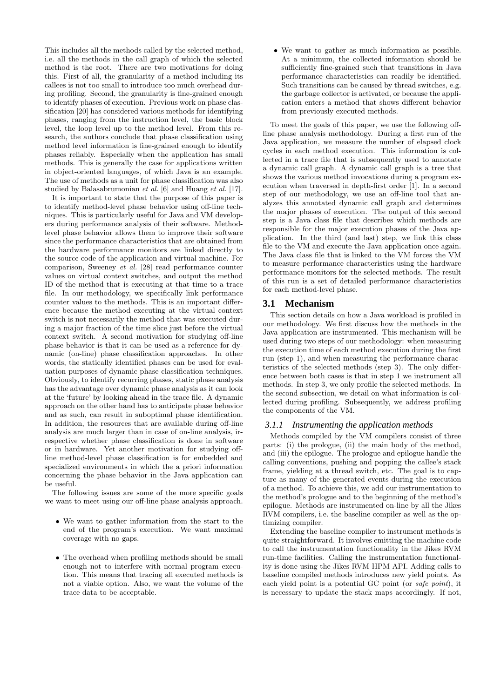This includes all the methods called by the selected method, i.e. all the methods in the call graph of which the selected method is the root. There are two motivations for doing this. First of all, the granularity of a method including its callees is not too small to introduce too much overhead during profiling. Second, the granularity is fine-grained enough to identify phases of execution. Previous work on phase classification [20] has considered various methods for identifying phases, ranging from the instruction level, the basic block level, the loop level up to the method level. From this research, the authors conclude that phase classification using method level information is fine-grained enough to identify phases reliably. Especially when the application has small methods. This is generally the case for applications written in object-oriented languages, of which Java is an example. The use of methods as a unit for phase classification was also studied by Balasabrumonian et al. [6] and Huang et al. [17].

It is important to state that the purpose of this paper is to identify method-level phase behavior using off-line techniques. This is particularly useful for Java and VM developers during performance analysis of their software. Methodlevel phase behavior allows them to improve their software since the performance characteristics that are obtained from the hardware performance monitors are linked directly to the source code of the application and virtual machine. For comparison, Sweeney et al. [28] read performance counter values on virtual context switches, and output the method ID of the method that is executing at that time to a trace file. In our methodology, we specifically link performance counter values to the methods. This is an important difference because the method executing at the virtual context switch is not necessarily the method that was executed during a major fraction of the time slice just before the virtual context switch. A second motivation for studying off-line phase behavior is that it can be used as a reference for dynamic (on-line) phase classification approaches. In other words, the statically identified phases can be used for evaluation purposes of dynamic phase classification techniques. Obviously, to identify recurring phases, static phase analysis has the advantage over dynamic phase analysis as it can look at the 'future' by looking ahead in the trace file. A dynamic approach on the other hand has to anticipate phase behavior and as such, can result in suboptimal phase identification. In addition, the resources that are available during off-line analysis are much larger than in case of on-line analysis, irrespective whether phase classification is done in software or in hardware. Yet another motivation for studying offline method-level phase classification is for embedded and specialized environments in which the a priori information concerning the phase behavior in the Java application can be useful.

The following issues are some of the more specific goals we want to meet using our off-line phase analysis approach.

- We want to gather information from the start to the end of the program's execution. We want maximal coverage with no gaps.
- The overhead when profiling methods should be small enough not to interfere with normal program execution. This means that tracing all executed methods is not a viable option. Also, we want the volume of the trace data to be acceptable.

• We want to gather as much information as possible. At a minimum, the collected information should be sufficiently fine-grained such that transitions in Java performance characteristics can readily be identified. Such transitions can be caused by thread switches, e.g. the garbage collector is activated, or because the application enters a method that shows different behavior from previously executed methods.

To meet the goals of this paper, we use the following offline phase analysis methodology. During a first run of the Java application, we measure the number of elapsed clock cycles in each method execution. This information is collected in a trace file that is subsequently used to annotate a dynamic call graph. A dynamic call graph is a tree that shows the various method invocations during a program execution when traversed in depth-first order [1]. In a second step of our methodology, we use an off-line tool that analyzes this annotated dynamic call graph and determines the major phases of execution. The output of this second step is a Java class file that describes which methods are responsible for the major execution phases of the Java application. In the third (and last) step, we link this class file to the VM and execute the Java application once again. The Java class file that is linked to the VM forces the VM to measure performance characteristics using the hardware performance monitors for the selected methods. The result of this run is a set of detailed performance characteristics for each method-level phase.

#### **3.1 Mechanism**

This section details on how a Java workload is profiled in our methodology. We first discuss how the methods in the Java application are instrumented. This mechanism will be used during two steps of our methodology: when measuring the execution time of each method execution during the first run (step 1), and when measuring the performance characteristics of the selected methods (step 3). The only difference between both cases is that in step 1 we instrument all methods. In step 3, we only profile the selected methods. In the second subsection, we detail on what information is collected during profiling. Subsequently, we address profiling the components of the VM.

#### *3.1.1 Instrumenting the application methods*

Methods compiled by the VM compilers consist of three parts: (i) the prologue, (ii) the main body of the method, and (iii) the epilogue. The prologue and epilogue handle the calling conventions, pushing and popping the callee's stack frame, yielding at a thread switch, etc. The goal is to capture as many of the generated events during the execution of a method. To achieve this, we add our instrumentation to the method's prologue and to the beginning of the method's epilogue. Methods are instrumented on-line by all the Jikes RVM compilers, i.e. the baseline compiler as well as the optimizing compiler.

Extending the baseline compiler to instrument methods is quite straightforward. It involves emitting the machine code to call the instrumentation functionality in the Jikes RVM run-time facilities. Calling the instrumentation functionality is done using the Jikes RVM HPM API. Adding calls to baseline compiled methods introduces new yield points. As each yield point is a potential GC point (or safe point), it is necessary to update the stack maps accordingly. If not,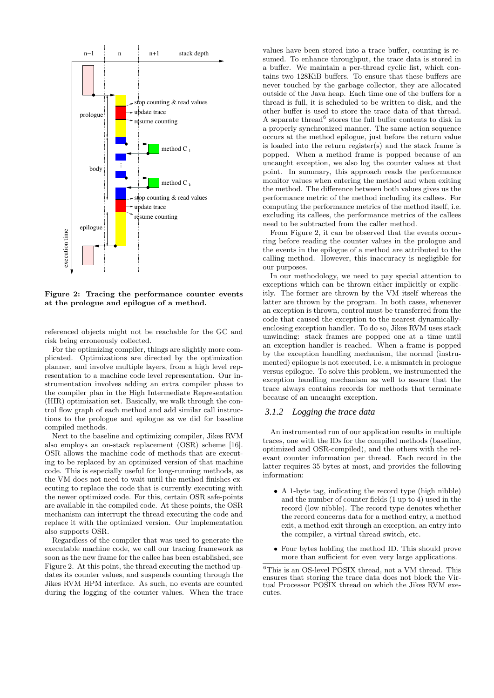

Figure 2: Tracing the performance counter events at the prologue and epilogue of a method.

referenced objects might not be reachable for the GC and risk being erroneously collected.

For the optimizing compiler, things are slightly more complicated. Optimizations are directed by the optimization planner, and involve multiple layers, from a high level representation to a machine code level representation. Our instrumentation involves adding an extra compiler phase to the compiler plan in the High Intermediate Representation (HIR) optimization set. Basically, we walk through the control flow graph of each method and add similar call instructions to the prologue and epilogue as we did for baseline compiled methods.

Next to the baseline and optimizing compiler, Jikes RVM also employs an on-stack replacement (OSR) scheme [16]. OSR allows the machine code of methods that are executing to be replaced by an optimized version of that machine code. This is especially useful for long-running methods, as the VM does not need to wait until the method finishes executing to replace the code that is currently executing with the newer optimized code. For this, certain OSR safe-points are available in the compiled code. At these points, the OSR mechanism can interrupt the thread executing the code and replace it with the optimized version. Our implementation also supports OSR.

Regardless of the compiler that was used to generate the executable machine code, we call our tracing framework as soon as the new frame for the callee has been established, see Figure 2. At this point, the thread executing the method updates its counter values, and suspends counting through the Jikes RVM HPM interface. As such, no events are counted during the logging of the counter values. When the trace

values have been stored into a trace buffer, counting is resumed. To enhance throughput, the trace data is stored in a buffer. We maintain a per-thread cyclic list, which contains two 128KiB buffers. To ensure that these buffers are never touched by the garbage collector, they are allocated outside of the Java heap. Each time one of the buffers for a thread is full, it is scheduled to be written to disk, and the other buffer is used to store the trace data of that thread. A separate thread<sup>6</sup> stores the full buffer contents to disk in a properly synchronized manner. The same action sequence occurs at the method epilogue, just before the return value is loaded into the return register(s) and the stack frame is popped. When a method frame is popped because of an uncaught exception, we also log the counter values at that point. In summary, this approach reads the performance monitor values when entering the method and when exiting the method. The difference between both values gives us the performance metric of the method including its callees. For computing the performance metrics of the method itself, i.e. excluding its callees, the performance metrics of the callees need to be subtracted from the caller method.

From Figure 2, it can be observed that the events occurring before reading the counter values in the prologue and the events in the epilogue of a method are attributed to the calling method. However, this inaccuracy is negligible for our purposes.

In our methodology, we need to pay special attention to exceptions which can be thrown either implicitly or explicitly. The former are thrown by the VM itself whereas the latter are thrown by the program. In both cases, whenever an exception is thrown, control must be transferred from the code that caused the exception to the nearest dynamicallyenclosing exception handler. To do so, Jikes RVM uses stack unwinding: stack frames are popped one at a time until an exception handler is reached. When a frame is popped by the exception handling mechanism, the normal (instrumented) epilogue is not executed, i.e. a mismatch in prologue versus epilogue. To solve this problem, we instrumented the exception handling mechanism as well to assure that the trace always contains records for methods that terminate because of an uncaught exception.

# *3.1.2 Logging the trace data*

An instrumented run of our application results in multiple traces, one with the IDs for the compiled methods (baseline, optimized and OSR-compiled), and the others with the relevant counter information per thread. Each record in the latter requires 35 bytes at most, and provides the following information:

- A 1-byte tag, indicating the record type (high nibble) and the number of counter fields (1 up to 4) used in the record (low nibble). The record type denotes whether the record concerns data for a method entry, a method exit, a method exit through an exception, an entry into the compiler, a virtual thread switch, etc.
- Four bytes holding the method ID. This should prove more than sufficient for even very large applications.

 ${}^{6}$  This is an OS-level POSIX thread, not a VM thread. This ensures that storing the trace data does not block the Virtual Processor POSIX thread on which the Jikes RVM executes.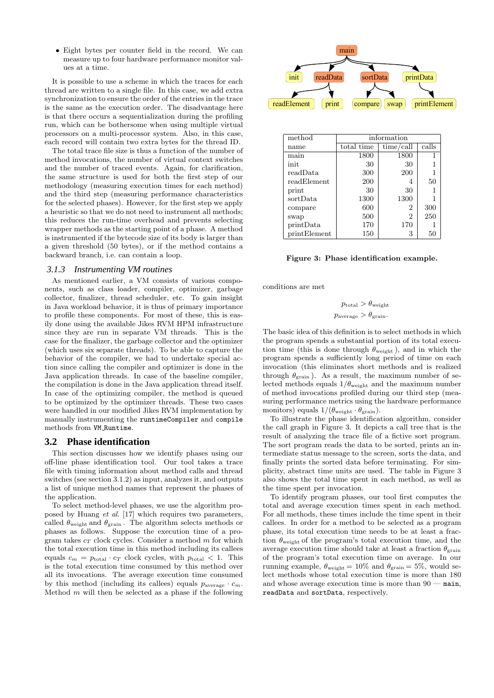• Eight bytes per counter field in the record. We can measure up to four hardware performance monitor values at a time.

It is possible to use a scheme in which the traces for each thread are written to a single file. In this case, we add extra synchronization to ensure the order of the entries in the trace is the same as the execution order. The disadvantage here is that there occurs a sequentialization during the profiling run, which can be bothersome when using multiple virtual processors on a multi-processor system. Also, in this case, each record will contain two extra bytes for the thread ID.

The total trace file size is thus a function of the number of method invocations, the number of virtual context switches and the number of traced events. Again, for clarification, the same structure is used for both the first step of our methodology (measuring execution times for each method) and the third step (measuring performance characteristics for the selected phases). However, for the first step we apply a heuristic so that we do not need to instrument all methods; this reduces the run-time overhead and prevents selecting wrapper methods as the starting point of a phase. A method is instrumented if the bytecode size of its body is larger than a given threshold (50 bytes), or if the method contains a backward branch, i.e. can contain a loop.

#### *3.1.3 Instrumenting VM routines*

As mentioned earlier, a VM consists of various components, such as class loader, compiler, optimizer, garbage collector, finalizer, thread scheduler, etc. To gain insight in Java workload behavior, it is thus of primary importance to profile these components. For most of these, this is easily done using the available Jikes RVM HPM infrastructure since they are run in separate VM threads. This is the case for the finalizer, the garbage collector and the optimizer (which uses six separate threads). To be able to capture the behavior of the compiler, we had to undertake special action since calling the compiler and optimizer is done in the Java application threads. In case of the baseline compiler, the compilation is done in the Java application thread itself. In case of the optimizing compiler, the method is queued to be optimized by the optimizer threads. These two cases were handled in our modified Jikes RVM implementation by manually instrumenting the runtimeCompiler and compile methods from VM Runtime.

### **3.2 Phase identification**

This section discusses how we identify phases using our off-line phase identification tool. Our tool takes a trace file with timing information about method calls and thread switches (see section 3.1.2) as input, analyzes it, and outputs a list of unique method names that represent the phases of the application.

To select method-level phases, we use the algorithm proposed by Huang et al. [17] which requires two parameters, called  $\theta_{\mathrm{weight}}$  and  $\theta_{\mathrm{grain}}$  . The algorithm selects methods or phases as follows. Suppose the execution time of a program takes  $c_T$  clock cycles. Consider a method m for which the total execution time in this method including its callees equals  $c_m = p_{\text{total}} \cdot c_T$  clock cycles, with  $p_{\text{total}} < 1$ . This is the total execution time consumed by this method over all its invocations. The average execution time consumed by this method (including its callees) equals  $p_{\text{average}} \cdot c_m$ . Method  $m$  will then be selected as a phase if the following



| method       | information |           |       |  |  |  |
|--------------|-------------|-----------|-------|--|--|--|
| name         | total time  | time/call | calls |  |  |  |
| main         | 1800        | 1800      | 1     |  |  |  |
| init         | 30          | 30        |       |  |  |  |
| readData     | 300         | 200       |       |  |  |  |
| readElement  | 200         | 4         | 50    |  |  |  |
| print        | 30          | 30        |       |  |  |  |
| sortData     | 1300        | 1300      |       |  |  |  |
| compare      | 600         | 2         | 300   |  |  |  |
| swap         | 500         | 2         | 250   |  |  |  |
| printData    | 170         | 170       |       |  |  |  |
| printElement | 150         | 3         | 50    |  |  |  |

#### Figure 3: Phase identification example.

conditions are met

 $p_{\text{total}} > \theta_{\text{weight}}$ 

 $p_{\text{average}} > \theta_{\text{grain}}$ .

The basic idea of this definition is to select methods in which the program spends a substantial portion of its total execution time (this is done through  $\theta_{weight}$ ), and in which the program spends a sufficiently long period of time on each invocation (this eliminates short methods and is realized through  $\theta_{\text{grain}}$ ). As a result, the maximum number of selected methods equals  $1/\theta_{weight}$  and the maximum number of method invocations profiled during our third step (measuring performance metrics using the hardware performance monitors) equals  $1/(\theta_{\text{weight}} \cdot \theta_{\text{grain}})$ .

To illustrate the phase identification algorithm, consider the call graph in Figure 3. It depicts a call tree that is the result of analyzing the trace file of a fictive sort program. The sort program reads the data to be sorted, prints an intermediate status message to the screen, sorts the data, and finally prints the sorted data before terminating. For simplicity, abstract time units are used. The table in Figure 3 also shows the total time spent in each method, as well as the time spent per invocation.

To identify program phases, our tool first computes the total and average execution times spent in each method. For all methods, these times include the time spent in their callees. In order for a method to be selected as a program phase, its total execution time needs to be at least a fraction  $\theta_{weight}$  of the program's total execution time, and the average execution time should take at least a fraction  $\theta_{\text{train}}$ of the program's total execution time on average. In our running example,  $\theta_{weight} = 10\%$  and  $\theta_{grain} = 5\%$ , would select methods whose total execution time is more than 180 and whose average execution time is more than  $90 - \text{main}$ , readData and sortData, respectively.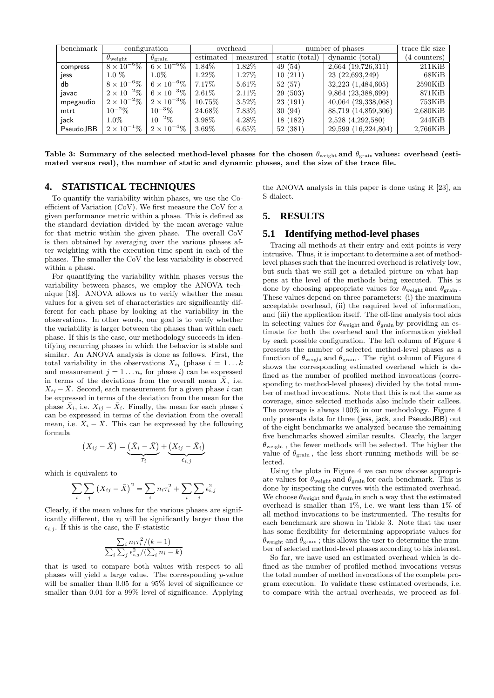| benchmark |                       | configuration        | overhead  |          | number of phases             | trace file size        |             |
|-----------|-----------------------|----------------------|-----------|----------|------------------------------|------------------------|-------------|
|           | $\theta_{\rm weight}$ | $\theta_{\rm grain}$ | estimated | measured | static (<br>$_{\rm (total)}$ | dynamic (total)        | 4 counters) |
| compress  | $8 \times 10^{-6}\%$  | $6 \times 10^{-6}\%$ | 1.84\%    | 1.82%    | 49 (54)                      | 2,664 (19,726,311)     | 211KiB      |
| jess      | $1.0\%$               | $1.0\%$              | $1.22\%$  | $1.27\%$ | 10(211)                      | 23 (22,693,249)        | $68$ KiB    |
| db        | $8 \times 10^{-6}\%$  | $6 \times 10^{-6}\%$ | 7.17\%    | $5.61\%$ | 52(57)                       | 32,223 (1,484,605)     | $2590$ KiB  |
| javac     | $2 \times 10^{-2} \%$ | $6 \times 10^{-3}$ % | $2.61\%$  | $2.11\%$ | 29(503)                      | $9,864$ $(23,388,699)$ | 871KiB      |
| mpegaudio | $2 \times 10^{-2} \%$ | $2 \times 10^{-3}$ % | 10.75\%   | $3.52\%$ | 23(191)                      | 40,064 (29,338,068)    | 753KiB      |
| mtrt      | $10^{-2}\%$           | $10^{-3}\%$          | 24.68\%   | 7.83%    | 30(94)                       | 88,719 (14,859,306)    | $2,680$ KiB |
| jack      | $1.0\%$               | $10^{-2}\%$          | 3.98%     | $4.28\%$ | 18 (182)                     | 2,528(4,292,580)       | 244KiB      |
| PseudoJBB | $2 \times 10^{-1}\%$  | $2 \times 10^{-4}\%$ | $3.69\%$  | $6.65\%$ | 52(381)                      | 29,599 (16,224,804)    | 2.766KiB    |

Table 3: Summary of the selected method-level phases for the chosen  $\theta_{weight}$  and  $\theta_{grain}$  values: overhead (estimated versus real), the number of static and dynamic phases, and the size of the trace file.

# **4. STATISTICAL TECHNIQUES**

To quantify the variability within phases, we use the Coefficient of Variation (CoV). We first measure the CoV for a given performance metric within a phase. This is defined as the standard deviation divided by the mean average value for that metric within the given phase. The overall CoV is then obtained by averaging over the various phases after weighting with the execution time spent in each of the phases. The smaller the CoV the less variability is observed within a phase.

For quantifying the variability within phases versus the variability between phases, we employ the ANOVA technique [18]. ANOVA allows us to verify whether the mean values for a given set of characteristics are significantly different for each phase by looking at the variability in the observations. In other words, our goal is to verify whether the variability is larger between the phases than within each phase. If this is the case, our methodology succeeds in identifying recurring phases in which the behavior is stable and similar. An ANOVA analysis is done as follows. First, the total variability in the observations  $X_{ij}$  (phase  $i = 1...k$ and measurement  $j = 1 \dots n_i$  for phase i) can be expressed in terms of the deviations from the overall mean  $\bar{X}$ , i.e.  $X_{ij} - \bar{X}$ . Second, each measurement for a given phase i can be expressed in terms of the deviation from the mean for the phase  $\bar{X}_i$ , i.e.  $X_{ij} - \bar{X}_i$ . Finally, the mean for each phase i can be expressed in terms of the deviation from the overall mean, i.e.  $\bar{X}_i - \bar{X}$ . This can be expressed by the following formula

$$
(X_{ij} - \bar{X}) = \underbrace{(\bar{X}_i - \bar{X})}_{\tau_i} + \underbrace{(X_{ij} - \bar{X}_i)}_{\epsilon_{i,j}}
$$

which is equivalent to

$$
\sum_{i} \sum_{j} (X_{ij} - \bar{X})^{2} = \sum_{i} n_{i} \tau_{i}^{2} + \sum_{i} \sum_{j} \epsilon_{i,j}^{2}
$$

Clearly, if the mean values for the various phases are significantly different, the  $\tau_i$  will be significantly larger than the  $\epsilon_{i,j}$ . If this is the case, the F-statistic

$$
\frac{\sum_{i} n_i \tau_i^2 / (k-1)}{\sum_{i} \sum_{j} \epsilon_{i,j}^2 / (\sum_{i} n_i - k)}
$$

that is used to compare both values with respect to all phases will yield a large value. The corresponding  $p$ -value will be smaller than 0.05 for a 95% level of significance or smaller than 0.01 for a 99% level of significance. Applying the ANOVA analysis in this paper is done using R [23], an S dialect.

### **5. RESULTS**

### **5.1 Identifying method-level phases**

Tracing all methods at their entry and exit points is very intrusive. Thus, it is important to determine a set of methodlevel phases such that the incurred overhead is relatively low, but such that we still get a detailed picture on what happens at the level of the methods being executed. This is done by choosing appropriate values for  $\theta_{\text{weight}}$  and  $\theta_{\text{grain}}$ . These values depend on three parameters: (i) the maximum acceptable overhead, (ii) the required level of information, and (iii) the application itself. The off-line analysis tool aids in selecting values for  $\theta_{\text{weight}}$  and  $\theta_{\text{grain}}$  by providing an estimate for both the overhead and the information yielded by each possible configuration. The left column of Figure 4 presents the number of selected method-level phases as a function of  $\theta_{weight}$  and  $\theta_{grain}$ . The right column of Figure 4 shows the corresponding estimated overhead which is defined as the number of profiled method invocations (corresponding to method-level phases) divided by the total number of method invocations. Note that this is not the same as coverage, since selected methods also include their callees. The coverage is always 100% in our methodology. Figure 4 only presents data for three (jess, jack, and PseudoJBB) out of the eight benchmarks we analyzed because the remaining five benchmarks showed similar results. Clearly, the larger  $\theta_{\text{weight}}$ , the fewer methods will be selected. The higher the value of  $\theta_{\text{grain}}$ , the less short-running methods will be selected.

Using the plots in Figure 4 we can now choose appropriate values for  $\theta_{weight}$  and  $\theta_{grain}$  for each benchmark. This is done by inspecting the curves with the estimated overhead. We choose  $\theta_{weight}$  and  $\theta_{grain}$  in such a way that the estimated overhead is smaller than 1%, i.e. we want less than 1% of all method invocations to be instrumented. The results for each benchmark are shown in Table 3. Note that the user has some flexibility for determining appropriate values for  $\theta_{\text{weight}}$  and  $\theta_{\text{grain}}$ ; this allows the user to determine the number of selected method-level phases according to his interest.

So far, we have used an estimated overhead which is defined as the number of profiled method invocations versus the total number of method invocations of the complete program execution. To validate these estimated overheads, i.e. to compare with the actual overheads, we proceed as fol-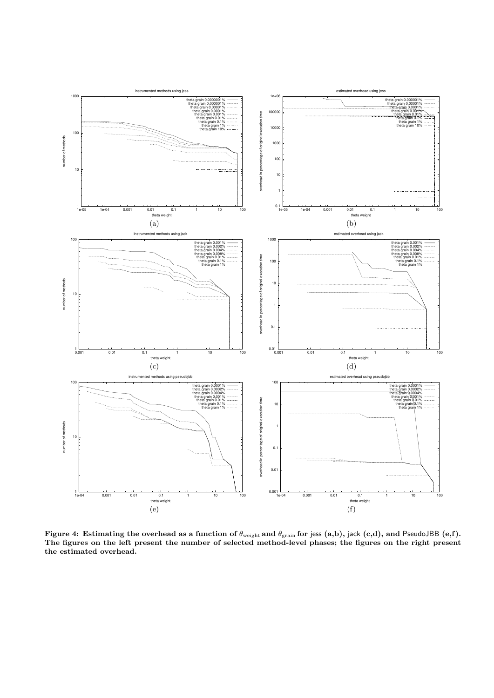

Figure 4: Estimating the overhead as a function of  $\theta_{\rm weight}$  and  $\theta_{\rm grain}$  for jess (a,b), jack (c,d), and PseudoJBB (e,f). The figures on the left present the number of selected method-level phases; the figures on the right present the estimated overhead.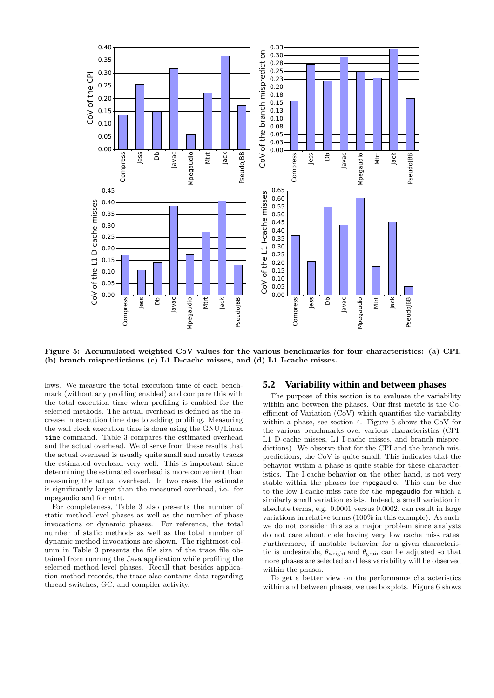

Figure 5: Accumulated weighted CoV values for the various benchmarks for four characteristics: (a) CPI, (b) branch mispredictions (c) L1 D-cache misses, and (d) L1 I-cache misses.

lows. We measure the total execution time of each benchmark (without any profiling enabled) and compare this with the total execution time when profiling is enabled for the selected methods. The actual overhead is defined as the increase in execution time due to adding profiling. Measuring the wall clock execution time is done using the GNU/Linux time command. Table 3 compares the estimated overhead and the actual overhead. We observe from these results that the actual overhead is usually quite small and mostly tracks the estimated overhead very well. This is important since determining the estimated overhead is more convenient than measuring the actual overhead. In two cases the estimate is significantly larger than the measured overhead, i.e. for mpegaudio and for mtrt.

For completeness, Table 3 also presents the number of static method-level phases as well as the number of phase invocations or dynamic phases. For reference, the total number of static methods as well as the total number of dynamic method invocations are shown. The rightmost column in Table 3 presents the file size of the trace file obtained from running the Java application while profiling the selected method-level phases. Recall that besides application method records, the trace also contains data regarding thread switches, GC, and compiler activity.

### **5.2 Variability within and between phases**

The purpose of this section is to evaluate the variability within and between the phases. Our first metric is the Coefficient of Variation (CoV) which quantifies the variability within a phase, see section 4. Figure 5 shows the CoV for the various benchmarks over various characteristics (CPI, L1 D-cache misses, L1 I-cache misses, and branch mispredictions). We observe that for the CPI and the branch mispredictions, the CoV is quite small. This indicates that the behavior within a phase is quite stable for these characteristics. The I-cache behavior on the other hand, is not very stable within the phases for mpegaudio. This can be due to the low I-cache miss rate for the mpegaudio for which a similarly small variation exists. Indeed, a small variation in absolute terms, e.g. 0.0001 versus 0.0002, can result in large variations in relative terms (100% in this example). As such, we do not consider this as a major problem since analysts do not care about code having very low cache miss rates. Furthermore, if unstable behavior for a given characteristic is undesirable,  $\theta_{weight}$  and  $\theta_{grain}$  can be adjusted so that more phases are selected and less variability will be observed within the phases.

To get a better view on the performance characteristics within and between phases, we use boxplots. Figure 6 shows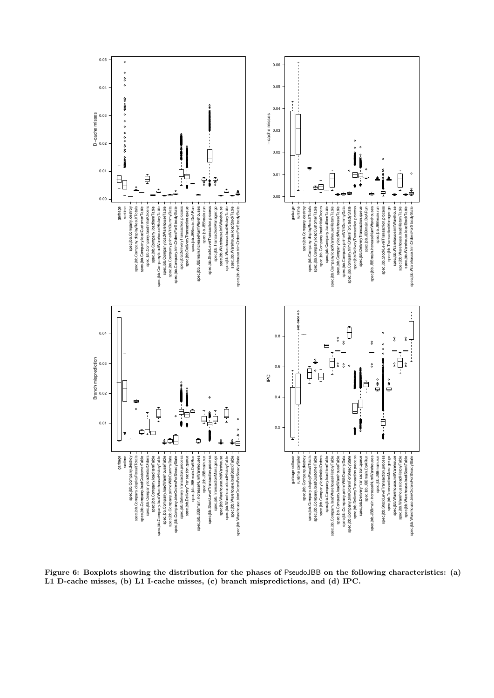

Figure 6: Boxplots showing the distribution for the phases of PseudoJBB on the following characteristics: (a) L1 D-cache misses, (b) L1 I-cache misses, (c) branch mispredictions, and (d) IPC.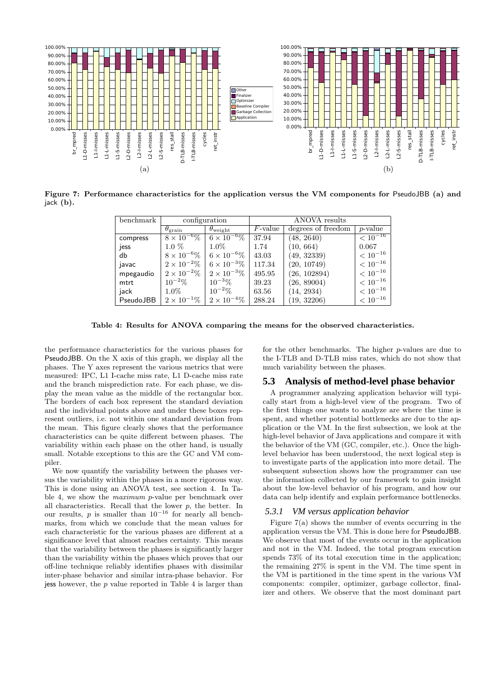

Figure 7: Performance characteristics for the application versus the VM components for PseudoJBB (a) and jack (b).

| benchmark |                       |                       | ANOVA results |                    |                   |  |  |
|-----------|-----------------------|-----------------------|---------------|--------------------|-------------------|--|--|
|           | configuration         |                       |               |                    |                   |  |  |
|           | $\theta_{\rm grain}$  | $\theta_{\rm weight}$ | $F$ -value    | degrees of freedom | $p$ -value        |  |  |
| compress  | $8 \times 10^{-6}\%$  | $6 \times 10^{-6}\%$  | 37.94         | (48, 2640)         | $\sqrt{10^{-16}}$ |  |  |
| jess      | $1.0\%$               | $1.0\%$               | 1.74          | (10, 664)          | 0.067             |  |  |
| db        | $8\times10^{-6}\%$    | $6 \times 10^{-6}\%$  | 43.03         | (49, 32339)        | $< 10^{-16}$      |  |  |
| javac     | $2 \times 10^{-2} \%$ | $6 \times 10^{-3}\%$  | 117.34        | (20, 10749)        | $< 10^{-16}$      |  |  |
| mpegaudio | $2 \times 10^{-2} \%$ | $2 \times 10^{-3}$ %  | 495.95        | (26, 102894)       | $< 10^{-16}$      |  |  |
| mtrt      | $10^{-2}\%$           | $10^{-3}\%$           | 39.23         | (26, 89004)        | $< 10^{-16}$      |  |  |
| jack      | $1.0\%$               | $10^{-2}\%$           | 63.56         | (14, 2934)         | $< 10^{-16}$      |  |  |
| PseudoJBB | $2 \times 10^{-1} \%$ | $2 \times 10^{-4}\%$  | 288.24        | (19, 32206)        | $< 10^{-16}$      |  |  |

Table 4: Results for ANOVA comparing the means for the observed characteristics.

the performance characteristics for the various phases for PseudoJBB. On the X axis of this graph, we display all the phases. The Y axes represent the various metrics that were measured: IPC, L1 I-cache miss rate, L1 D-cache miss rate and the branch misprediction rate. For each phase, we display the mean value as the middle of the rectangular box. The borders of each box represent the standard deviation and the individual points above and under these boxes represent outliers, i.e. not within one standard deviation from the mean. This figure clearly shows that the performance characteristics can be quite different between phases. The variability within each phase on the other hand, is usually small. Notable exceptions to this are the GC and VM compiler.

We now quantify the variability between the phases versus the variability within the phases in a more rigorous way. This is done using an ANOVA test, see section 4. In Table 4, we show the maximum p-value per benchmark over all characteristics. Recall that the lower  $p$ , the better. In our results, p is smaller than  $10^{-16}$  for nearly all benchmarks, from which we conclude that the mean values for each characteristic for the various phases are different at a significance level that almost reaches certainty. This means that the variability between the phases is significantly larger than the variability within the phases which proves that our off-line technique reliably identifies phases with dissimilar inter-phase behavior and similar intra-phase behavior. For jess however, the  $p$  value reported in Table 4 is larger than

for the other benchmarks. The higher p-values are due to the I-TLB and D-TLB miss rates, which do not show that much variability between the phases.

### **5.3 Analysis of method-level phase behavior**

A programmer analyzing application behavior will typically start from a high-level view of the program. Two of the first things one wants to analyze are where the time is spent, and whether potential bottlenecks are due to the application or the VM. In the first subsection, we look at the high-level behavior of Java applications and compare it with the behavior of the VM (GC, compiler, etc.). Once the highlevel behavior has been understood, the next logical step is to investigate parts of the application into more detail. The subsequent subsection shows how the programmer can use the information collected by our framework to gain insight about the low-level behavior of his program, and how our data can help identify and explain performance bottlenecks.

#### *5.3.1 VM versus application behavior*

Figure 7(a) shows the number of events occurring in the application versus the VM. This is done here for PseudoJBB. We observe that most of the events occur in the application and not in the VM. Indeed, the total program execution spends 73% of its total execution time in the application; the remaining 27% is spent in the VM. The time spent in the VM is partitioned in the time spent in the various VM components: compiler, optimizer, garbage collector, finalizer and others. We observe that the most dominant part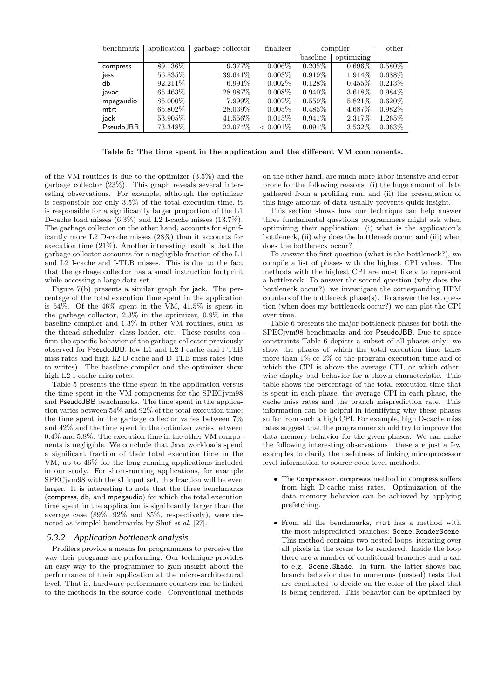| benchmark | application | garbage collector | finalizer   | compiler  |            | other     |
|-----------|-------------|-------------------|-------------|-----------|------------|-----------|
|           |             |                   |             | baseline  | optimizing |           |
| compress  | 89.136\%    | 9.377%            | $0.006\%$   | $0.205\%$ | 0.696%     | $0.580\%$ |
| jess      | 56.835\%    | 39.641\%          | $0.003\%$   | $0.919\%$ | 1.914\%    | $0.688\%$ |
| db        | 92.211\%    | $6.991\%$         | $0.002\%$   | $0.128\%$ | $0.455\%$  | $0.213\%$ |
| javac     | 65.463\%    | 28.987\%          | $0.008\%$   | $0.940\%$ | 3.618\%    | $0.984\%$ |
| mpegaudio | 85.000\%    | 7.999\%           | $0.002\%$   | $0.559\%$ | 5.821\%    | $0.620\%$ |
| mtrt      | 65.802\%    | 28.039\%          | $0.005\%$   | $0.485\%$ | 4.687%     | $0.982\%$ |
| jack      | 53.905\%    | 41.556\%          | 0.015%      | $0.941\%$ | 2.317\%    | 1.265\%   |
| PseudoJBB | 73.348\%    | 22.974\%          | $< 0.001\%$ | $0.091\%$ | 3.532%     | 0.063%    |

Table 5: The time spent in the application and the different VM components.

of the VM routines is due to the optimizer (3.5%) and the garbage collector (23%). This graph reveals several interesting observations. For example, although the optimizer is responsible for only 3.5% of the total execution time, it is responsible for a significantly larger proportion of the L1 D-cache load misses (6.3%) and L2 I-cache misses (13.7%). The garbage collector on the other hand, accounts for significantly more L2 D-cache misses (28%) than it accounts for execution time (21%). Another interesting result is that the garbage collector accounts for a negligible fraction of the L1 and L2 I-cache and I-TLB misses. This is due to the fact that the garbage collector has a small instruction footprint while accessing a large data set.

Figure 7(b) presents a similar graph for jack. The percentage of the total execution time spent in the application is 54%. Of the 46% spent in the VM, 41.5% is spent in the garbage collector, 2.3% in the optimizer, 0.9% in the baseline compiler and 1.3% in other VM routines, such as the thread scheduler, class loader, etc. These results confirm the specific behavior of the garbage collector previously observed for PseudoJBB: low L1 and L2 I-cache and I-TLB miss rates and high L2 D-cache and D-TLB miss rates (due to writes). The baseline compiler and the optimizer show high L2 I-cache miss rates.

Table 5 presents the time spent in the application versus the time spent in the VM components for the SPECjvm98 and PseudoJBB benchmarks. The time spent in the application varies between 54% and 92% of the total execution time; the time spent in the garbage collector varies between 7% and 42% and the time spent in the optimizer varies between 0.4% and 5.8%. The execution time in the other VM components is negligible. We conclude that Java workloads spend a significant fraction of their total execution time in the VM, up to 46% for the long-running applications included in our study. For short-running applications, for example SPEC jvm98 with the s1 input set, this fraction will be even larger. It is interesting to note that the three benchmarks (compress, db, and mpegaudio) for which the total execution time spent in the application is significantly larger than the average case (89%, 92% and 85%, respectively), were denoted as 'simple' benchmarks by Shuf et al. [27].

### *5.3.2 Application bottleneck analysis*

Profilers provide a means for programmers to perceive the way their programs are performing. Our technique provides an easy way to the programmer to gain insight about the performance of their application at the micro-architectural level. That is, hardware performance counters can be linked to the methods in the source code. Conventional methods

on the other hand, are much more labor-intensive and errorprone for the following reasons: (i) the huge amount of data gathered from a profiling run, and (ii) the presentation of this huge amount of data usually prevents quick insight.

This section shows how our technique can help answer three fundamental questions programmers might ask when optimizing their application: (i) what is the application's bottleneck, (ii) why does the bottleneck occur, and (iii) when does the bottleneck occur?

To answer the first question (what is the bottleneck?), we compile a list of phases with the highest CPI values. The methods with the highest CPI are most likely to represent a bottleneck. To answer the second question (why does the bottleneck occur?) we investigate the corresponding HPM counters of the bottleneck phase(s). To answer the last question (when does my bottleneck occur?) we can plot the CPI over time.

Table 6 presents the major bottleneck phases for both the SPECjvm98 benchmarks and for PseudoJBB. Due to space constraints Table 6 depicts a subset of all phases only: we show the phases of which the total execution time takes more than 1% or 2% of the program execution time and of which the CPI is above the average CPI, or which otherwise display bad behavior for a shown characteristic. This table shows the percentage of the total execution time that is spent in each phase, the average CPI in each phase, the cache miss rates and the branch misprediction rate. This information can be helpful in identifying why these phases suffer from such a high CPI. For example, high D-cache miss rates suggest that the programmer should try to improve the data memory behavior for the given phases. We can make the following interesting observations—these are just a few examples to clarify the usefulness of linking microprocessor level information to source-code level methods.

- The Compressor.compress method in compress suffers from high D-cache miss rates. Optimization of the data memory behavior can be achieved by applying prefetching.
- From all the benchmarks, mtrt has a method with the most mispredicted branches: Scene.RenderScene. This method contains two nested loops, iterating over all pixels in the scene to be rendered. Inside the loop there are a number of conditional branches and a call to e.g. Scene.Shade. In turn, the latter shows bad branch behavior due to numerous (nested) tests that are conducted to decide on the color of the pixel that is being rendered. This behavior can be optimized by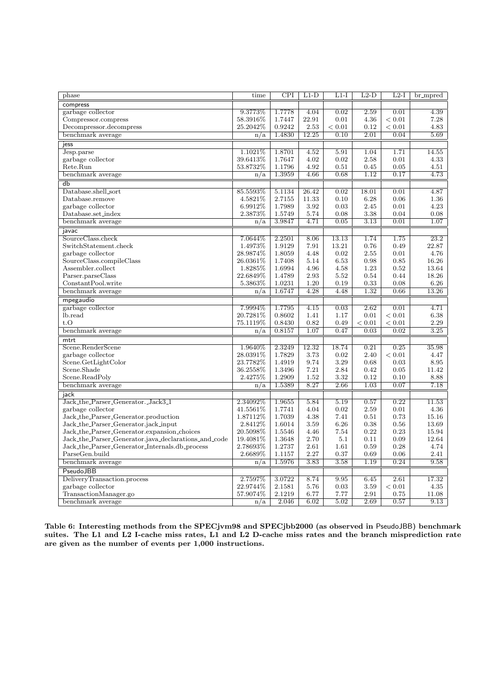| phase                                                     | time        | $\overline{\text{CPI}}$ | $L1-D$            | $L1-I$       | $L2-D$            | $L2-I$   | br_mpred          |
|-----------------------------------------------------------|-------------|-------------------------|-------------------|--------------|-------------------|----------|-------------------|
| compress                                                  |             |                         |                   |              |                   |          |                   |
| garbage collector                                         | 9.3773%     | 1.7778                  | 4.04              | 0.02         | 2.59              | 0.01     | 4.39              |
| Compressor.compress                                       | 58.3916%    | 1.7447                  | 22.91             | 0.01         | 4.36              | < 0.01   | 7.28              |
| Decompressor.decompress                                   | 25.2042\%   | 0.9242                  | 2.53              | < 0.01       | 0.12              | < 0.01   | 4.83              |
| benchmark average                                         | n/a         | 1.4830                  | 12.25             | 0.10         | 2.01              | 0.04     | $5.\overline{69}$ |
| jess                                                      |             |                         |                   |              |                   |          |                   |
| Jesp.parse                                                | 1.1021\%    | 1.8701                  | 4.52              | 5.91         | 1.04              | 1.71     | 14.55             |
| garbage collector                                         | 39.6413%    | 1.7647                  | 4.02              | 0.02         | 2.58              | 0.01     | 4.33              |
| Rete.Run                                                  | 53.8732%    | 1.1796                  | 4.92              | 0.51         | 0.45              | 0.05     | 4.51              |
| benchmark average                                         | n/a         | 1.3959                  | 4.66              | 0.68         | 1.12              | 0.17     | 4.73              |
| $\overline{db}$                                           |             |                         |                   |              |                   |          |                   |
| Database.shell_sort                                       | 85.5593%    | 5.1134                  | 26.42             | 0.02         | 18.01             | 0.01     | 4.87              |
| Database.remove                                           | 4.5821\%    | 2.7155                  | 11.33             | 0.10         | 6.28              | 0.06     | 1.36              |
| garbage collector                                         | 6.9912%     | 1.7989                  | 3.92              | 0.03         | 2.45              | 0.01     | 4.23              |
| Database.set_index                                        | 2.3873%     | 1.5749                  | 5.74              | 0.08         | 3.38              | 0.04     | 0.08              |
| benchmark average                                         | n/a         | 3.9847                  | 4.71              | 0.05         | $\overline{3.13}$ | 0.01     | 1.07              |
| javac                                                     |             |                         |                   |              |                   |          |                   |
| SourceClass.check                                         | 7.0644\%    | 2.2501                  | 8.06              | 13.13        | 1.74              | 1.75     | $\overline{23.2}$ |
| SwitchStatement.check                                     | 1.4973%     | 1.9129                  | 7.91              | 13.21        | 0.76              | 0.49     | 22.87             |
| garbage collector                                         | 28.9874%    | 1.8059                  | 4.48              | 0.02         | 2.55              | 0.01     | 4.76              |
| SourceClass.compileClass                                  | 26.0361\%   | 1.7408                  | 5.14              | 6.53         | 0.98              | 0.85     | 16.26             |
| Assembler.collect                                         | 1.8285%     | 1.6994                  | 4.96              | 4.58         | 1.23              | 0.52     | 13.64             |
| Parser.parseClass                                         | 22.6849%    | 1.4789                  | 2.93              | 5.52         | 0.54              | 0.44     | 18.26             |
| ConstantPool.write                                        | 5.3863%     | 1.0231                  | 1.20              | 0.19         | 0.33              | 0.08     | 6.26              |
| benchmark average                                         | n/a         | 1.6747                  | $\overline{4.28}$ | 4.48         | 1.32              | 0.66     | 13.26             |
| mpegaudio                                                 |             |                         |                   |              |                   |          |                   |
| garbage collector                                         | 7.9994%     | 1.7795                  | 4.15              | 0.03         | 2.62              | 0.01     | 4.71              |
| lb.read                                                   | 20.7281%    | 0.8602                  | 1.41              | 1.17         | 0.01              | < 0.01   | 6.38              |
| t.O                                                       | 75.1119%    | 0.8430                  | 0.82              | 0.49         | < 0.01            | < 0.01   | 2.29              |
| benchmark average                                         | n/a         | 0.8157                  | 1.07              | 0.47         | 0.03              | 0.02     | 3.25              |
| mtrt                                                      |             |                         |                   |              |                   |          |                   |
| Scene.RenderScene                                         | 1.9640%     | 2.3249                  | 12.32             | 18.74        | 0.21              | 0.25     | 35.98             |
| garbage collector                                         | 28.0391%    | 1.7829                  | 3.73              | 0.02         | 2.40              | < 0.01   | 4.47              |
| Scene.GetLightColor                                       | 23.7782%    | 1.4919                  | 9.74              | 3.29         | 0.68              | 0.03     | 8.95              |
| Scene.Shade                                               | 36.2558\%   | 1.3496                  | 7.21              | 2.84         | 0.42              | 0.05     | 11.42             |
| Scene.ReadPoly                                            | 2.4275%     | 1.2909                  | 1.52              | 3.32         | 0.12              | 0.10     | 8.88              |
| benchmark average                                         | n/a         | 1.5389                  | 8.27              | 2.66         | 1.03              | 0.07     | 7.18              |
| iack                                                      |             |                         |                   |              |                   |          |                   |
| Jack_the_Parser_Generator._Jack3_1                        | 2.34092%    | 1.9655                  | 5.84              | 5.19         | 0.57              | 0.22     | 11.53             |
|                                                           | 41.5561%    | 1.7741                  | 4.04              | 0.02         | 2.59              | 0.01     | 4.36              |
| garbage collector<br>Jack_the_Parser_Generator.production | $1.87112\%$ | 1.7039                  | 4.38              | 7.41         | 0.51              | 0.73     | 15.16             |
| Jack_the_Parser_Generator.jack_input                      | 2.8412\%    | 1.6014                  | 3.59              | 6.26         | 0.38              | 0.56     | 13.69             |
| Jack_the_Parser_Generator.expansion_choices               | 20.5098%    | 1.5546                  | 4.46              | 7.54         | 0.22              | 0.23     | 15.94             |
| Jack_the_Parser_Generator.java_declarations_and_code      | 19.4081%    | 1.3648                  | 2.70              | 5.1          | 0.11              | 0.09     | 12.64             |
| Jack_the_Parser_Generator_Internals.db_process            | 2.78693\%   | 1.2737                  | 2.61              | 1.61         | 0.59              | 0.28     | 4.74              |
| ParseGen.build                                            | 2.6689%     | 1.1157                  | 2.27              | 0.37         | 0.69              | 0.06     | 2.41              |
| benchmark average                                         | n/a         | 1.5976                  | 3.83              | 3.58         | 1.19              | 0.24     | 9.58              |
| PseudoJBB                                                 |             |                         |                   |              |                   |          |                   |
| DeliveryTransaction.process                               | 2.7597%     | 3.0722                  | 8.74              |              |                   | 2.61     | 17.32             |
| garbage collector                                         | 22.9744%    | 2.1581                  | 5.76              | 9.95<br>0.03 | 6.45<br>3.59      | $< 0.01$ | 4.35              |
| TransactionManager.go                                     | 57.9074%    | 2.1219                  | 6.77              | 7.77         | 2.91              | 0.75     | 11.08             |
| benchmark average                                         | n/a         | 2.046                   | 6.02              | 5.02         | 2.69              | 0.57     | 9.13              |
|                                                           |             |                         |                   |              |                   |          |                   |

Table 6: Interesting methods from the SPECjvm98 and SPECjbb2000 (as observed in PseudoJBB) benchmark suites. The L1 and L2 I-cache miss rates, L1 and L2 D-cache miss rates and the branch misprediction rate are given as the number of events per 1,000 instructions.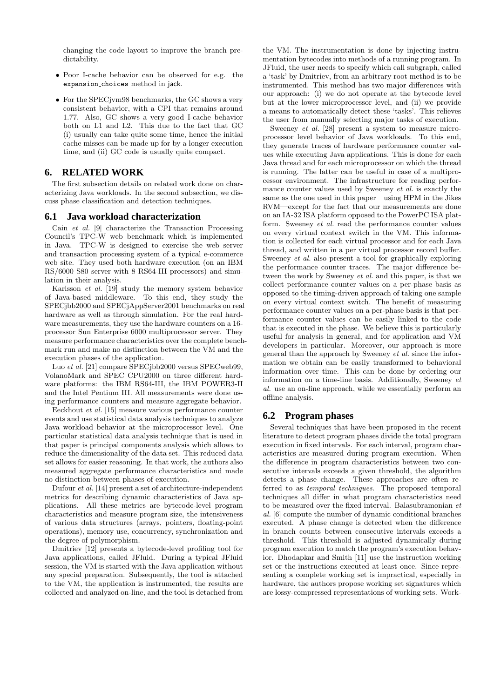changing the code layout to improve the branch predictability.

- Poor I-cache behavior can be observed for e.g. the expansion choices method in jack.
- For the SPEC jvm98 benchmarks, the GC shows a very consistent behavior, with a CPI that remains around 1.77. Also, GC shows a very good I-cache behavior both on L1 and L2. This due to the fact that GC (i) usually can take quite some time, hence the initial cache misses can be made up for by a longer execution time, and (ii) GC code is usually quite compact.

# **6. RELATED WORK**

The first subsection details on related work done on characterizing Java workloads. In the second subsection, we discuss phase classification and detection techniques.

### **6.1 Java workload characterization**

Cain et al. [9] characterize the Transaction Processing Council's TPC-W web benchmark which is implemented in Java. TPC-W is designed to exercise the web server and transaction processing system of a typical e-commerce web site. They used both hardware execution (on an IBM RS/6000 S80 server with 8 RS64-III processors) and simulation in their analysis.

Karlsson et al. [19] study the memory system behavior of Java-based middleware. To this end, they study the SPECjbb2000 and SPECjAppServer2001 benchmarks on real hardware as well as through simulation. For the real hardware measurements, they use the hardware counters on a 16 processor Sun Enterprise 6000 multiprocessor server. They measure performance characteristics over the complete benchmark run and make no distinction between the VM and the execution phases of the application.

Luo et al. [21] compare SPECjbb2000 versus SPECweb99, VolanoMark and SPEC CPU2000 on three different hardware platforms: the IBM RS64-III, the IBM POWER3-II and the Intel Pentium III. All measurements were done using performance counters and measure aggregate behavior.

Eeckhout et al. [15] measure various performance counter events and use statistical data analysis techniques to analyze Java workload behavior at the microprocessor level. One particular statistical data analysis technique that is used in that paper is principal components analysis which allows to reduce the dimensionality of the data set. This reduced data set allows for easier reasoning. In that work, the authors also measured aggregate performance characteristics and made no distinction between phases of execution.

Dufour et al. [14] present a set of architecture-independent metrics for describing dynamic characteristics of Java applications. All these metrics are bytecode-level program characteristics and measure program size, the intensiveness of various data structures (arrays, pointers, floating-point operations), memory use, concurrency, synchronization and the degree of polymorphism.

Dmitriev [12] presents a bytecode-level profiling tool for Java applications, called JFluid. During a typical JFluid session, the VM is started with the Java application without any special preparation. Subsequently, the tool is attached to the VM, the application is instrumented, the results are collected and analyzed on-line, and the tool is detached from

the VM. The instrumentation is done by injecting instrumentation bytecodes into methods of a running program. In JFluid, the user needs to specify which call subgraph, called a 'task' by Dmitriev, from an arbitrary root method is to be instrumented. This method has two major differences with our approach: (i) we do not operate at the bytecode level but at the lower microprocessor level, and (ii) we provide a means to automatically detect these 'tasks'. This relieves the user from manually selecting major tasks of execution.

Sweeney et al. [28] present a system to measure microprocessor level behavior of Java workloads. To this end, they generate traces of hardware performance counter values while executing Java applications. This is done for each Java thread and for each microprocessor on which the thread is running. The latter can be useful in case of a multiprocessor environment. The infrastructure for reading performance counter values used by Sweeney et al. is exactly the same as the one used in this paper—using HPM in the Jikes RVM—except for the fact that our measurements are done on an IA-32 ISA platform opposed to the PowerPC ISA platform. Sweeney et al. read the performance counter values on every virtual context switch in the VM. This information is collected for each virtual processor and for each Java thread, and written in a per virtual processor record buffer. Sweeney et al. also present a tool for graphically exploring the performance counter traces. The major difference between the work by Sweeney et al. and this paper, is that we collect performance counter values on a per-phase basis as opposed to the timing-driven approach of taking one sample on every virtual context switch. The benefit of measuring performance counter values on a per-phase basis is that performance counter values can be easily linked to the code that is executed in the phase. We believe this is particularly useful for analysis in general, and for application and VM developers in particular. Moreover, our approach is more general than the approach by Sweeney et al. since the information we obtain can be easily transformed to behavioral information over time. This can be done by ordering our information on a time-line basis. Additionally, Sweeney et al. use an on-line approach, while we essentially perform an offline analysis.

### **6.2 Program phases**

Several techniques that have been proposed in the recent literature to detect program phases divide the total program execution in fixed intervals. For each interval, program characteristics are measured during program execution. When the difference in program characteristics between two consecutive intervals exceeds a given threshold, the algorithm detects a phase change. These approaches are often referred to as temporal techniques. The proposed temporal techniques all differ in what program characteristics need to be measured over the fixed interval. Balasubramonian et al. [6] compute the number of dynamic conditional branches executed. A phase change is detected when the difference in branch counts between consecutive intervals exceeds a threshold. This threshold is adjusted dynamically during program execution to match the program's execution behavior. Dhodapkar and Smith [11] use the instruction working set or the instructions executed at least once. Since representing a complete working set is impractical, especially in hardware, the authors propose working set signatures which are lossy-compressed representations of working sets. Work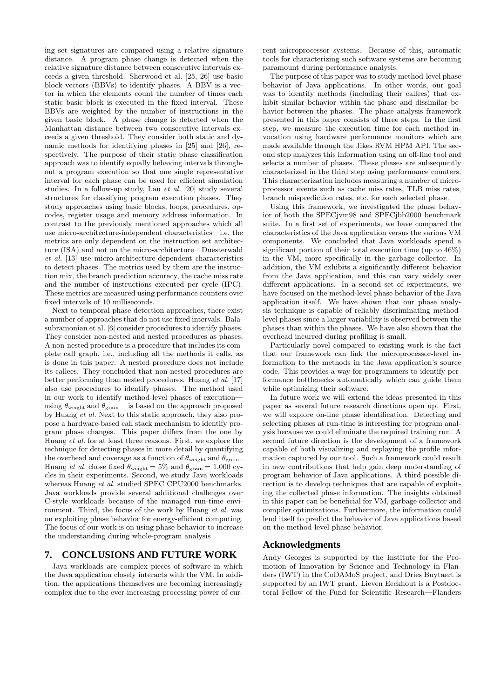ing set signatures are compared using a relative signature distance. A program phase change is detected when the relative signature distance between consecutive intervals exceeds a given threshold. Sherwood et al. [25, 26] use basic block vectors (BBVs) to identify phases. A BBV is a vector in which the elements count the number of times each static basic block is executed in the fixed interval. These BBVs are weighted by the number of instructions in the given basic block. A phase change is detected when the Manhattan distance between two consecutive intervals exceeds a given threshold. They consider both static and dynamic methods for identifying phases in [25] and [26], respectively. The purpose of their static phase classification approach was to identify equally behaving intervals throughout a program execution so that one single representative interval for each phase can be used for efficient simulation studies. In a follow-up study, Lau et al. [20] study several structures for classifying program execution phases. They study approaches using basic blocks, loops, procedures, opcodes, register usage and memory address information. In contrast to the previously mentioned approaches which all use micro-architecture-independent characteristics—i.e. the metrics are only dependent on the instruction set architecture (ISA) and not on the micro-architecture—Duesterwald et al. [13] use micro-architecture-dependent characteristics to detect phases. The metrics used by them are the instruction mix, the branch prediction accuracy, the cache miss rate and the number of instructions executed per cycle (IPC). These metrics are measured using performance counters over fixed intervals of 10 milliseconds.

Next to temporal phase detection approaches, there exist a number of approaches that do not use fixed intervals. Balasubramonian et al. [6] consider procedures to identify phases. They consider non-nested and nested procedures as phases. A non-nested procedure is a procedure that includes its complete call graph, i.e., including all the methods it calls, as is done in this paper. A nested procedure does not include its callees. They concluded that non-nested procedures are better performing than nested procedures. Huang et al. [17] also use procedures to identify phases. The method used in our work to identify method-level phases of execution using  $\theta_{weight}$  and  $\theta_{grain}$  —is based on the approach proposed by Huang et al. Next to this static approach, they also propose a hardware-based call stack mechanism to identify program phase changes. This paper differs from the one by Huang et al. for at least three reasons. First, we explore the technique for detecting phases in more detail by quantifying the overhead and coverage as a function of  $\theta_{weight}$  and  $\theta_{grain}$ . Huang *et al.* chose fixed  $\theta_{weight} = 5\%$  and  $\theta_{grain} = 1,000$  cycles in their experiments. Second, we study Java workloads whereas Huang et al. studied SPEC CPU2000 benchmarks. Java workloads provide several additional challenges over C-style workloads because of the managed run-time environment. Third, the focus of the work by Huang et al. was on exploiting phase behavior for energy-efficient computing. The focus of our work is on using phase behavior to increase the understanding during whole-program analysis

### **7. CONCLUSIONS AND FUTURE WORK**

Java workloads are complex pieces of software in which the Java application closely interacts with the VM. In addition, the applications themselves are becoming increasingly complex due to the ever-increasing processing power of cur-

rent microprocessor systems. Because of this, automatic tools for characterizing such software systems are becoming paramount during performance analysis.

The purpose of this paper was to study method-level phase behavior of Java applications. In other words, our goal was to identify methods (including their callees) that exhibit similar behavior within the phase and dissimilar behavior between the phases. The phase analysis framework presented in this paper consists of three steps. In the first step, we measure the execution time for each method invocation using hardware performance monitors which are made available through the Jikes RVM HPM API. The second step analyzes this information using an off-line tool and selects a number of phases. These phases are subsequently characterized in the third step using performance counters. This characterization includes measuring a number of microprocessor events such as cache miss rates, TLB miss rates, branch misprediction rates, etc. for each selected phase.

Using this framework, we investigated the phase behavior of both the SPECjvm98 and SPECjbb2000 benchmark suite. In a first set of experiments, we have compared the characteristics of the Java application versus the various VM components. We concluded that Java workloads spend a significant portion of their total execution time (up to 46%) in the VM, more specifically in the garbage collector. In addition, the VM exhibits a significantly different behavior from the Java application, and this can vary widely over different applications. In a second set of experiments, we have focused on the method-level phase behavior of the Java application itself. We have shown that our phase analysis technique is capable of reliably discriminating methodlevel phases since a larger variability is observed between the phases than within the phases. We have also shown that the overhead incurred during profiling is small.

Particularly novel compared to existing work is the fact that our framework can link the microprocessor-level information to the methods in the Java application's source code. This provides a way for programmers to identify performance bottlenecks automatically which can guide them while optimizing their software.

In future work we will extend the ideas presented in this paper as several future research directions open up. First, we will explore on-line phase identification. Detecting and selecting phases at run-time is interesting for program analysis because we could eliminate the required training run. A second future direction is the development of a framework capable of both visualizing and replaying the profile information captured by our tool. Such a framework could result in new contributions that help gain deep understanding of program behavior of Java applications. A third possible direction is to develop techniques that are capable of exploiting the collected phase information. The insights obtained in this paper can be beneficial for VM, garbage collector and compiler optimizations. Furthermore, the information could lend itself to predict the behavior of Java applications based on the method-level phase behavior.

### **Acknowledgments**

Andy Georges is supported by the Institute for the Promotion of Innovation by Science and Technology in Flanders (IWT) in the CoDAMoS project, and Dries Buytaert is supported by an IWT grant. Lieven Eeckhout is a Postdoctoral Fellow of the Fund for Scientific Research—Flanders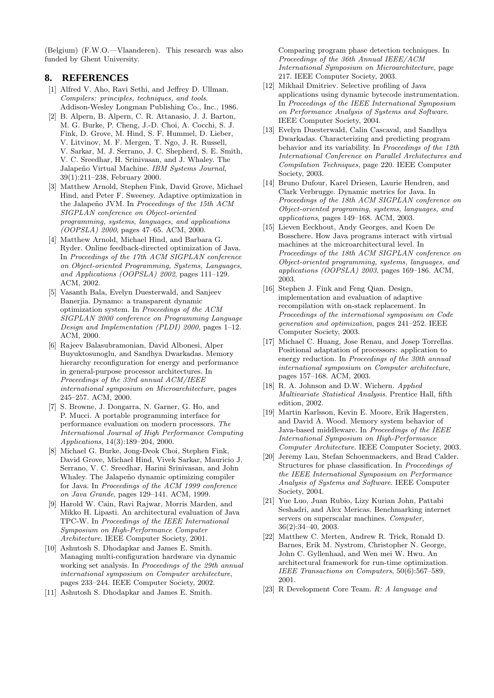(Belgium) (F.W.O.—Vlaanderen). This research was also funded by Ghent University.

# **8. REFERENCES**

- [1] Alfred V. Aho, Ravi Sethi, and Jeffrey D. Ullman. Compilers: principles, techniques, and tools. Addison-Wesley Longman Publishing Co., Inc., 1986.
- [2] B. Alpern, B. Alpern, C. R. Attanasio, J. J. Barton, M. G. Burke, P. Cheng, J.-D. Choi, A. Cocchi, S. J. Fink, D. Grove, M. Hind, S. F. Hummel, D. Lieber, V. Litvinov, M. F. Mergen, T. Ngo, J. R. Russell, V. Sarkar, M. J. Serrano, J. C. Shepherd, S. E. Smith, V. C. Sreedhar, H. Srinivasan, and J. Whaley. The Jalapeño Virtual Machine. IBM Systems Journal, 39(1):211–238, February 2000.
- [3] Matthew Arnold, Stephen Fink, David Grove, Michael Hind, and Peter F. Sweeney. Adaptive optimization in the Jalapeño JVM. In Proceedings of the 15th ACM SIGPLAN conference on Object-oriented programming, systems, languages, and applications (OOPSLA) 2000, pages 47–65. ACM, 2000.
- [4] Matthew Arnold, Michael Hind, and Barbara G. Ryder. Online feedback-directed optimization of Java. In Proceedings of the 17th ACM SIGPLAN conference on Object-oriented Programming, Systems, Languages, and Applications (OOPSLA) 2002, pages 111–129. ACM, 2002.
- [5] Vasanth Bala, Evelyn Duesterwald, and Sanjeev Banerjia. Dynamo: a transparent dynamic optimization system. In Proceedings of the ACM SIGPLAN 2000 conference on Programming Language Design and Implementation (PLDI) 2000, pages 1–12. ACM, 2000.
- [6] Rajeev Balasubramonian, David Albonesi, Alper Buyuktosunoglu, and Sandhya Dwarkadas. Memory hierarchy reconfiguration for energy and performance in general-purpose processor architectures. In Proceedings of the 33rd annual ACM/IEEE international symposium on Microarchitecture, pages 245–257. ACM, 2000.
- [7] S. Browne, J. Dongarra, N. Garner, G. Ho, and P. Mucci. A portable programming interface for performance evaluation on modern processors. The International Journal of High Performance Computing Applications, 14(3):189–204, 2000.
- [8] Michael G. Burke, Jong-Deok Choi, Stephen Fink, David Grove, Michael Hind, Vivek Sarkar, Mauricio J. Serrano, V. C. Sreedhar, Harini Srinivasan, and John Whaley. The Jalapeño dynamic optimizing compiler for Java. In Proceedings of the ACM 1999 conference on Java Grande, pages 129–141. ACM, 1999.
- [9] Harold W. Cain, Ravi Rajwar, Morris Marden, and Mikko H. Lipasti. An architectural evaluation of Java TPC-W. In Proceedings of the IEEE International Symposium on High-Performance Computer Architecture. IEEE Computer Society, 2001.
- [10] Ashutosh S. Dhodapkar and James E. Smith. Managing multi-configuration hardware via dynamic working set analysis. In Proceedings of the 29th annual international symposium on Computer architecture, pages 233–244. IEEE Computer Society, 2002.
- [11] Ashutosh S. Dhodapkar and James E. Smith.

Comparing program phase detection techniques. In Proceedings of the 36th Annual IEEE/ACM International Symposium on Microarchitecture, page 217. IEEE Computer Society, 2003.

- [12] Mikhail Dmitriev. Selective profiling of Java applications using dynamic bytecode instrumentation. In Proceedings of the IEEE International Symposium on Performance Analysis of Systems and Software. IEEE Computer Society, 2004.
- [13] Evelyn Duesterwald, Calin Cascaval, and Sandhya Dwarkadas. Characterizing and predicting program behavior and its variability. In Proceedings of the 12th International Conference on Parallel Architectures and Compilation Techniques, page 220. IEEE Computer Society, 2003.
- [14] Bruno Dufour, Karel Driesen, Laurie Hendren, and Clark Verbrugge. Dynamic metrics for Java. In Proceedings of the 18th ACM SIGPLAN conference on Object-oriented programing, systems, languages, and applications, pages 149–168. ACM, 2003.
- [15] Lieven Eeckhout, Andy Georges, and Koen De Bosschere. How Java programs interact with virtual machines at the microarchitectural level. In Proceedings of the 18th ACM SIGPLAN conference on Object-oriented programming, systems, languages, and applications (OOPSLA) 2003, pages 169–186. ACM, 2003.
- [16] Stephen J. Fink and Feng Qian. Design, implementation and evaluation of adaptive recompilation with on-stack replacement. In Proceedings of the international symposium on Code generation and optimization, pages 241–252. IEEE Computer Society, 2003.
- [17] Michael C. Huang, Jose Renau, and Josep Torrellas. Positional adaptation of processors: application to energy reduction. In Proceedings of the 30th annual international symposium on Computer architecture, pages 157–168. ACM, 2003.
- [18] R. A. Johnson and D.W. Wichern. Applied Multivariate Statistical Analysis. Prentice Hall, fifth edition, 2002.
- [19] Martin Karlsson, Kevin E. Moore, Erik Hagersten, and David A. Wood. Memory system behavior of Java-based middleware. In Proceedings of the IEEE International Symposium on High-Performance Computer Architecture. IEEE Computer Society, 2003.
- [20] Jeremy Lau, Stefan Schoenmackers, and Brad Calder. Structures for phase classification. In Proceedings of the IEEE International Symposium on Performance Analysis of Systems and Software. IEEE Computer Society, 2004.
- [21] Yue Luo, Juan Rubio, Lizy Kurian John, Pattabi Seshadri, and Alex Mericas. Benchmarking internet servers on superscalar machines. Computer, 36(2):34–40, 2003.
- [22] Matthew C. Merten, Andrew R. Trick, Ronald D. Barnes, Erik M. Nystrom, Christopher N. George, John C. Gyllenhaal, and Wen mei W. Hwu. An architectural framework for run-time optimization. IEEE Transactions on Computers, 50(6):567–589, 2001.
- [23] R Development Core Team. R: A language and